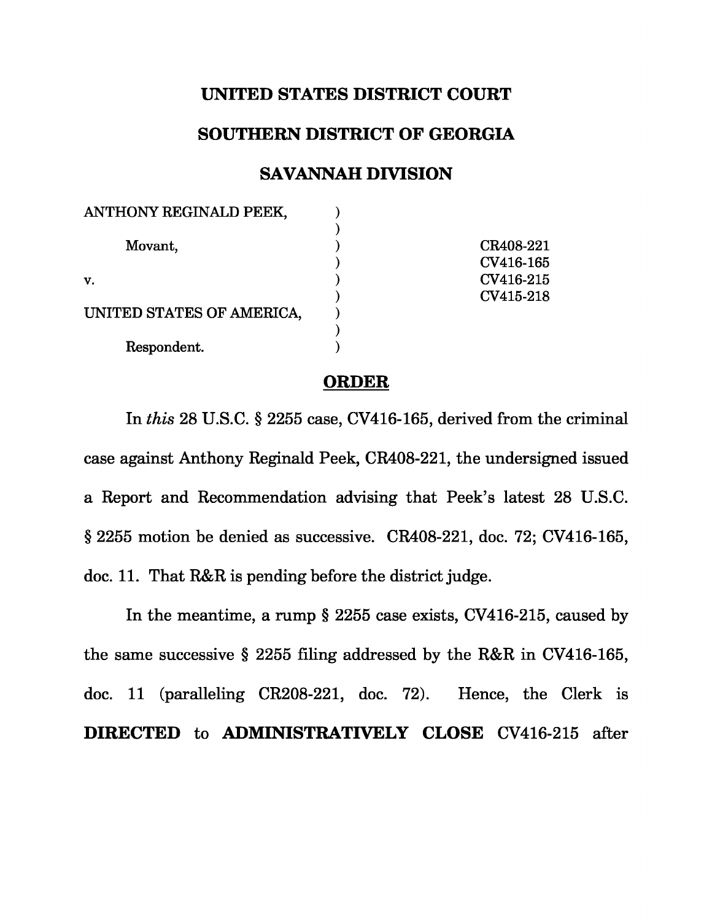## **UNITED STATES DISTRICT COURT**

## **SOUTHERN DISTRICT OF GEORGIA**

## **SAVANNAH DIVISION**

| CR408-221 |
|-----------|
| CV416-165 |
| CV416-215 |
| CV415-218 |
|           |
|           |
|           |
|           |

## **ORDER**

In this 28 U.S.C. § 2255 case, CV416-165, derived from the criminal case against Anthony Reginald Peek, CR408-221, the undersigned issued a Report and Recommendation advising that Peek's latest 28 U.S.C. § 2255 motion be denied as successive. CR408-221, doc. 72; CV416-165, doc. 11. That R&R is pending before the district judge.

In the meantime, a rump § 2255 case exists, CV416-215, caused by the same successive § 2255 filing addressed by the R&R in CV416-165, doc. 11 (paralleling CR208-221, doc. 72). Hence, the Clerk is **DIRECTED** to **ADMINISTRATIVELY CLOSE** CV416-215 after